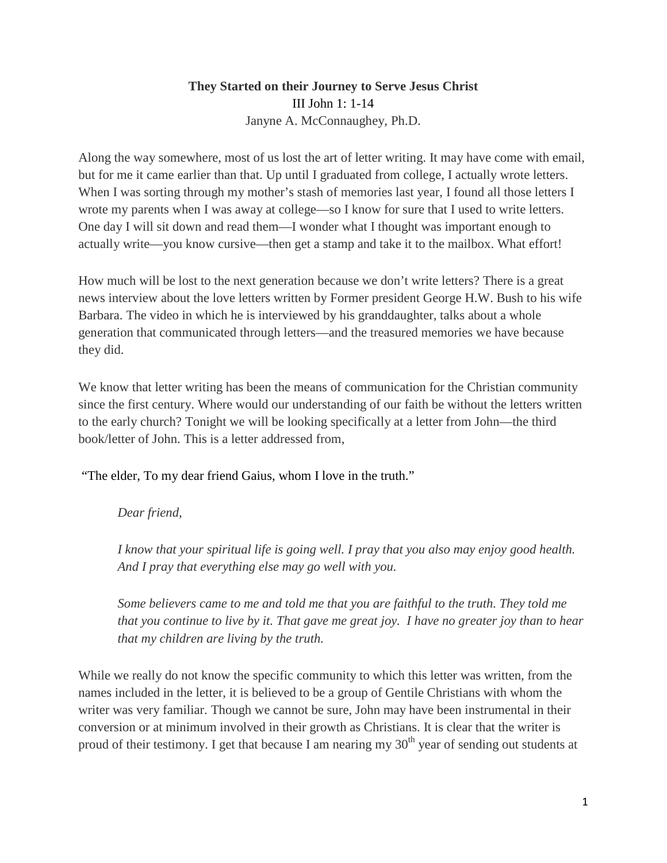## **They Started on their Journey to Serve Jesus Christ** III John 1: 1-14 Janyne A. McConnaughey, Ph.D.

Along the way somewhere, most of us lost the art of letter writing. It may have come with email, but for me it came earlier than that. Up until I graduated from college, I actually wrote letters. When I was sorting through my mother's stash of memories last year, I found all those letters I wrote my parents when I was away at college—so I know for sure that I used to write letters. One day I will sit down and read them—I wonder what I thought was important enough to actually write—you know cursive—then get a stamp and take it to the mailbox. What effort!

How much will be lost to the next generation because we don't write letters? There is a great news interview about the love letters written by Former president George H.W. Bush to his wife Barbara. The video in which he is interviewed by his granddaughter, talks about a whole generation that communicated through letters—and the treasured memories we have because they did.

We know that letter writing has been the means of communication for the Christian community since the first century. Where would our understanding of our faith be without the letters written to the early church? Tonight we will be looking specifically at a letter from John—the third book/letter of John. This is a letter addressed from,

"The elder, To my dear friend Gaius, whom I love in the truth."

*Dear friend,* 

*I know that your spiritual life is going well. I pray that you also may enjoy good health. And I pray that everything else may go well with you.* 

*Some believers came to me and told me that you are faithful to the truth. They told me that you continue to live by it. That gave me great joy. I have no greater joy than to hear that my children are living by the truth.* 

While we really do not know the specific community to which this letter was written, from the names included in the letter, it is believed to be a group of Gentile Christians with whom the writer was very familiar. Though we cannot be sure, John may have been instrumental in their conversion or at minimum involved in their growth as Christians. It is clear that the writer is proud of their testimony. I get that because I am nearing my  $30<sup>th</sup>$  year of sending out students at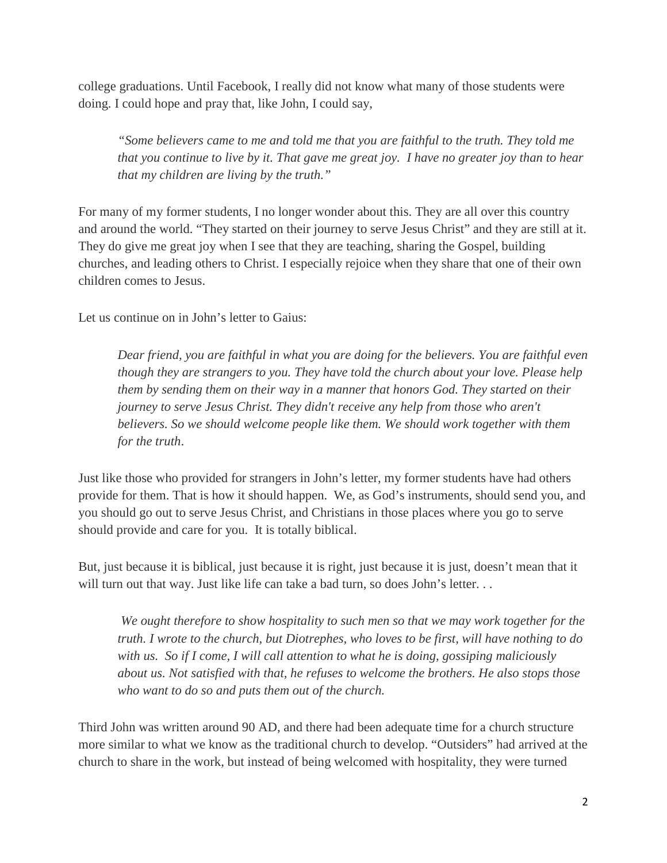college graduations. Until Facebook, I really did not know what many of those students were doing. I could hope and pray that, like John, I could say,

*"Some believers came to me and told me that you are faithful to the truth. They told me that you continue to live by it. That gave me great joy. I have no greater joy than to hear that my children are living by the truth."* 

For many of my former students, I no longer wonder about this. They are all over this country and around the world. "They started on their journey to serve Jesus Christ" and they are still at it. They do give me great joy when I see that they are teaching, sharing the Gospel, building churches, and leading others to Christ. I especially rejoice when they share that one of their own children comes to Jesus.

Let us continue on in John's letter to Gaius:

*Dear friend, you are faithful in what you are doing for the believers. You are faithful even though they are strangers to you. They have told the church about your love. Please help them by sending them on their way in a manner that honors God. They started on their journey to serve Jesus Christ. They didn't receive any help from those who aren't believers. So we should welcome people like them. We should work together with them for the truth*.

Just like those who provided for strangers in John's letter, my former students have had others provide for them. That is how it should happen. We, as God's instruments, should send you, and you should go out to serve Jesus Christ, and Christians in those places where you go to serve should provide and care for you. It is totally biblical.

But, just because it is biblical, just because it is right, just because it is just, doesn't mean that it will turn out that way. Just like life can take a bad turn, so does John's letter...

*We ought therefore to show hospitality to such men so that we may work together for the truth. I wrote to the church, but Diotrephes, who loves to be first, will have nothing to do with us. So if I come, I will call attention to what he is doing, gossiping maliciously about us. Not satisfied with that, he refuses to welcome the brothers. He also stops those who want to do so and puts them out of the church.* 

Third John was written around 90 AD, and there had been adequate time for a church structure more similar to what we know as the traditional church to develop. "Outsiders" had arrived at the church to share in the work, but instead of being welcomed with hospitality, they were turned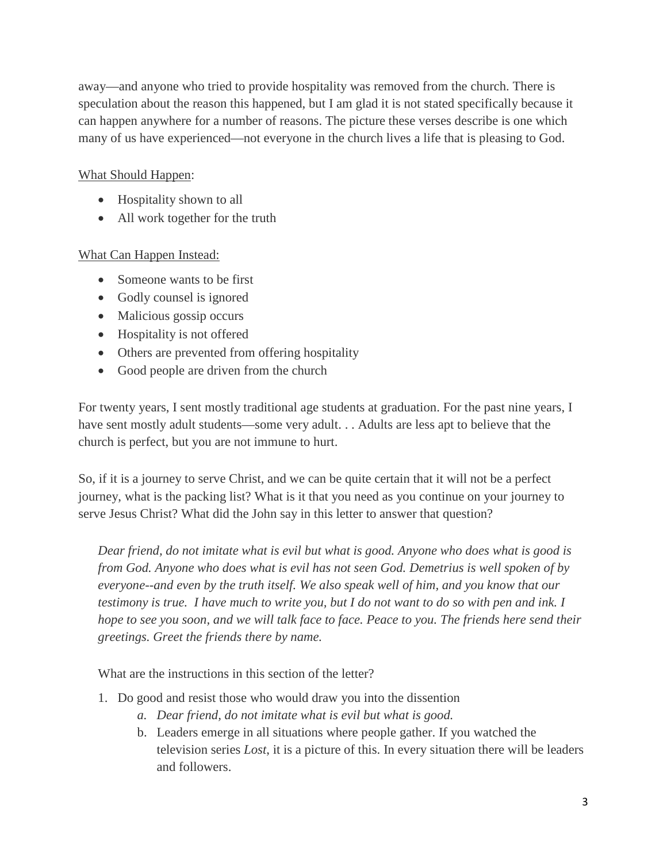away—and anyone who tried to provide hospitality was removed from the church. There is speculation about the reason this happened, but I am glad it is not stated specifically because it can happen anywhere for a number of reasons. The picture these verses describe is one which many of us have experienced—not everyone in the church lives a life that is pleasing to God.

## What Should Happen:

- Hospitality shown to all
- All work together for the truth

## What Can Happen Instead:

- Someone wants to be first
- Godly counsel is ignored
- Malicious gossip occurs
- Hospitality is not offered
- Others are prevented from offering hospitality
- Good people are driven from the church

For twenty years, I sent mostly traditional age students at graduation. For the past nine years, I have sent mostly adult students—some very adult. . . Adults are less apt to believe that the church is perfect, but you are not immune to hurt.

So, if it is a journey to serve Christ, and we can be quite certain that it will not be a perfect journey, what is the packing list? What is it that you need as you continue on your journey to serve Jesus Christ? What did the John say in this letter to answer that question?

*Dear friend, do not imitate what is evil but what is good. Anyone who does what is good is from God. Anyone who does what is evil has not seen God. Demetrius is well spoken of by everyone--and even by the truth itself. We also speak well of him, and you know that our testimony is true. I have much to write you, but I do not want to do so with pen and ink. I hope to see you soon, and we will talk face to face. Peace to you. The friends here send their greetings. Greet the friends there by name.*

What are the instructions in this section of the letter?

- 1. Do good and resist those who would draw you into the dissention
	- *a. Dear friend, do not imitate what is evil but what is good.*
	- b. Leaders emerge in all situations where people gather. If you watched the television series *Lost*, it is a picture of this. In every situation there will be leaders and followers.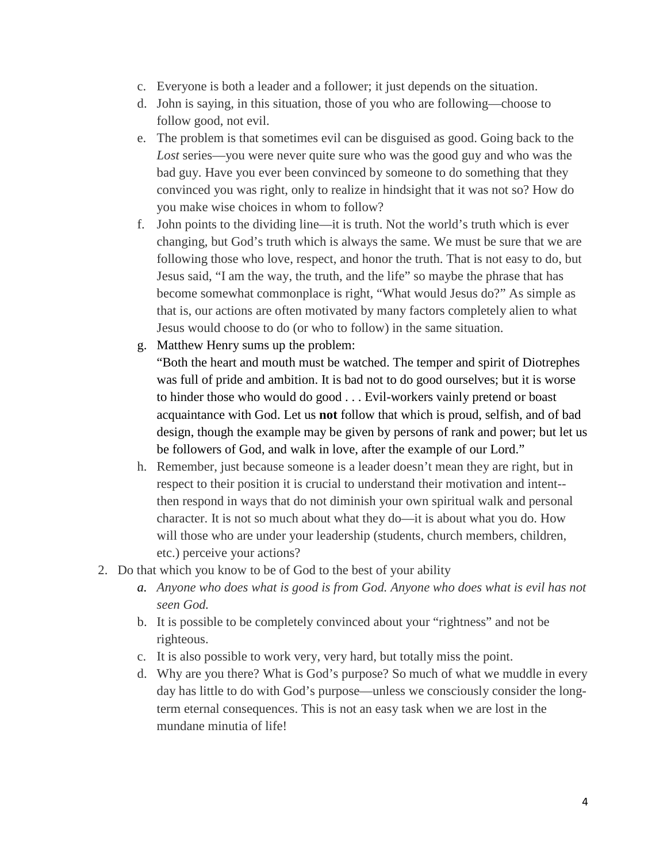- c. Everyone is both a leader and a follower; it just depends on the situation.
- d. John is saying, in this situation, those of you who are following—choose to follow good, not evil.
- e. The problem is that sometimes evil can be disguised as good. Going back to the *Lost* series—you were never quite sure who was the good guy and who was the bad guy. Have you ever been convinced by someone to do something that they convinced you was right, only to realize in hindsight that it was not so? How do you make wise choices in whom to follow?
- f. John points to the dividing line—it is truth. Not the world's truth which is ever changing, but God's truth which is always the same. We must be sure that we are following those who love, respect, and honor the truth. That is not easy to do, but Jesus said, "I am the way, the truth, and the life" so maybe the phrase that has become somewhat commonplace is right, "What would Jesus do?" As simple as that is, our actions are often motivated by many factors completely alien to what Jesus would choose to do (or who to follow) in the same situation.
- g. Matthew Henry sums up the problem:

"Both the heart and mouth must be watched. The temper and spirit of Diotrephes was full of pride and ambition. It is bad not to do good ourselves; but it is worse to hinder those who would do good . . . Evil-workers vainly pretend or boast acquaintance with God. Let us **not** follow that which is proud, selfish, and of bad design, though the example may be given by persons of rank and power; but let us be followers of God, and walk in love, after the example of our Lord."

- h. Remember, just because someone is a leader doesn't mean they are right, but in respect to their position it is crucial to understand their motivation and intent- then respond in ways that do not diminish your own spiritual walk and personal character. It is not so much about what they do—it is about what you do. How will those who are under your leadership (students, church members, children, etc.) perceive your actions?
- 2. Do that which you know to be of God to the best of your ability
	- *a. Anyone who does what is good is from God. Anyone who does what is evil has not seen God.*
	- b. It is possible to be completely convinced about your "rightness" and not be righteous.
	- c. It is also possible to work very, very hard, but totally miss the point.
	- d. Why are you there? What is God's purpose? So much of what we muddle in every day has little to do with God's purpose—unless we consciously consider the longterm eternal consequences. This is not an easy task when we are lost in the mundane minutia of life!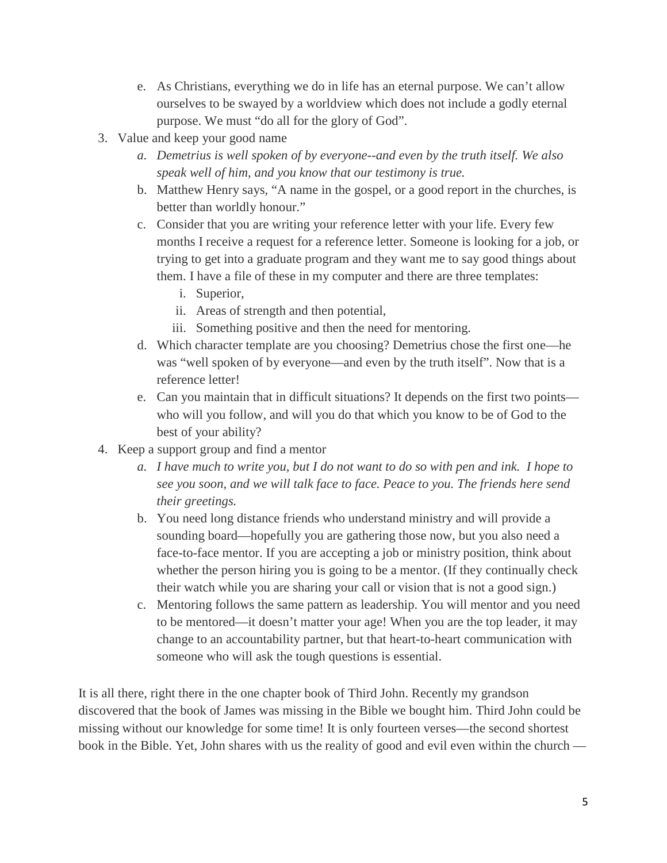- e. As Christians, everything we do in life has an eternal purpose. We can't allow ourselves to be swayed by a worldview which does not include a godly eternal purpose. We must "do all for the glory of God".
- 3. Value and keep your good name
	- *a. Demetrius is well spoken of by everyone--and even by the truth itself. We also speak well of him, and you know that our testimony is true.*
	- b. Matthew Henry says, "A name in the gospel, or a good report in the churches, is better than worldly honour."
	- c. Consider that you are writing your reference letter with your life. Every few months I receive a request for a reference letter. Someone is looking for a job, or trying to get into a graduate program and they want me to say good things about them. I have a file of these in my computer and there are three templates:
		- i. Superior,
		- ii. Areas of strength and then potential,
		- iii. Something positive and then the need for mentoring.
	- d. Which character template are you choosing? Demetrius chose the first one—he was "well spoken of by everyone—and even by the truth itself". Now that is a reference letter!
	- e. Can you maintain that in difficult situations? It depends on the first two points who will you follow, and will you do that which you know to be of God to the best of your ability?
- 4. Keep a support group and find a mentor
	- *a. I have much to write you, but I do not want to do so with pen and ink. I hope to see you soon, and we will talk face to face. Peace to you. The friends here send their greetings.*
	- b. You need long distance friends who understand ministry and will provide a sounding board—hopefully you are gathering those now, but you also need a face-to-face mentor. If you are accepting a job or ministry position, think about whether the person hiring you is going to be a mentor. (If they continually check their watch while you are sharing your call or vision that is not a good sign.)
	- c. Mentoring follows the same pattern as leadership. You will mentor and you need to be mentored—it doesn't matter your age! When you are the top leader, it may change to an accountability partner, but that heart-to-heart communication with someone who will ask the tough questions is essential.

It is all there, right there in the one chapter book of Third John. Recently my grandson discovered that the book of James was missing in the Bible we bought him. Third John could be missing without our knowledge for some time! It is only fourteen verses—the second shortest book in the Bible. Yet, John shares with us the reality of good and evil even within the church —